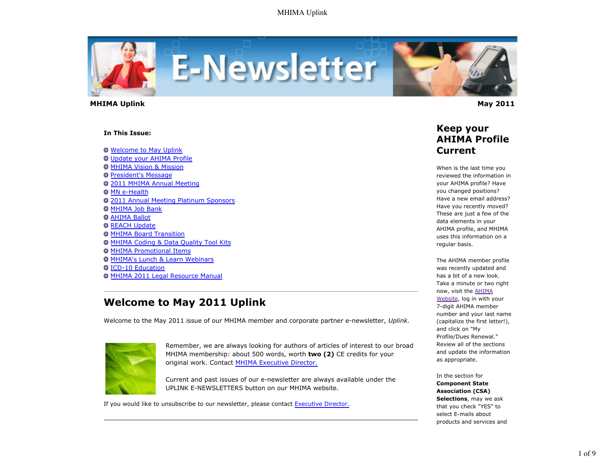

 **MHIMA Uplink May 2011** 

#### **In This Issue:**

**O** Welcome to May Uplink

Update your AHIMA Profile **O MHIMA Vision & Mission President's Message** 2011 MHIMA Annual Meeting **O MN e-Health** 2011 Annual Meeting Platinum Sponsors **O MHIMA Job Bank O AHIMA Ballot O** REACH Update **O MHIMA Board Transition** MHIMA Coding & Data Quality Tool Kits MHIMA Promotional Items **O MHIMA's Lunch & Learn Webinars** ICD-10 Education MHIMA 2011 Legal Resource Manual

# **Welcome to May 2011 Uplink**

Welcome to the May 2011 issue of our MHIMA member and corporate partner e-newsletter, *Uplink.*



Remember, we are always looking for authors of articles of interest to our broad MHIMA membership: about 500 words, worth **two (2)** CE credits for your original work. Contact MHIMA Executive Director.

Current and past issues of our e-newsletter are always available under the UPLINK E-NEWSLETTERS button on our MHIMA website.

If you would like to unsubscribe to our newsletter, please contact Executive Director.



### **Keep your AHIMA Profile Current**

When is the last time you reviewed the information in your AHIMA profile? Have you changed positions? Have a new email address? Have you recently moved? These are just a few of the data elements in your AHIMA profile, and MHIMA uses this information on a regular basis.

The AHIMA member profile was recently updated and has a bit of a new look. Take a minute or two right now, visit the AHIMA Website, log in with your 7-digit AHIMA member number and your last name (capitalize the first letter!), and click on "My Profile/Dues Renewal." Review all of the sections and update the information as appropriate.

In the section for **Component State Association (CSA) Selections**, may we ask that you check "YES" to select E-mails about products and services and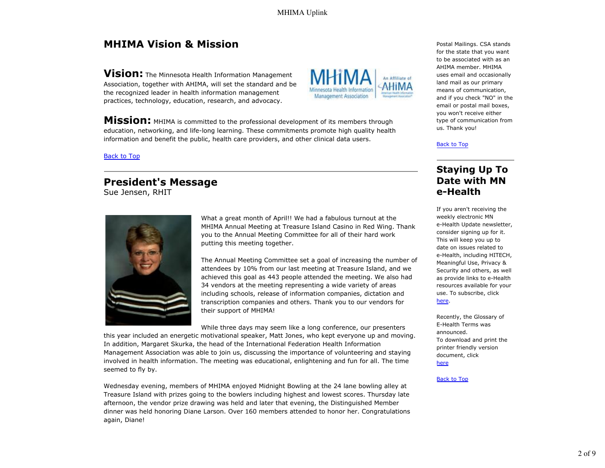# **MHIMA Vision & Mission**

**Vision:** The Minnesota Health Information Management Association, together with AHIMA, will set the standard and be the recognized leader in health information management practices, technology, education, research, and advocacy.

**Mission:** MHIMA is committed to the professional development of its members through education, networking, and life-long learning. These commitments promote high quality health information and benefit the public, health care providers, and other clinical data users.

Back to Top

# **President's Message**

Sue Jensen, RHIT



What a great month of April!! We had a fabulous turnout at the MHIMA Annual Meeting at Treasure Island Casino in Red Wing. Thank you to the Annual Meeting Committee for all of their hard work putting this meeting together.

The Annual Meeting Committee set a goal of increasing the number of attendees by 10% from our last meeting at Treasure Island, and we achieved this goal as 443 people attended the meeting. We also had 34 vendors at the meeting representing a wide variety of areas including schools, release of information companies, dictation and transcription companies and others. Thank you to our vendors for their support of MHIMA!

While three days may seem like a long conference, our presenters

this year included an energetic motivational speaker, Matt Jones, who kept everyone up and moving. In addition, Margaret Skurka, the head of the International Federation Health Information Management Association was able to join us, discussing the importance of volunteering and staying involved in health information. The meeting was educational, enlightening and fun for all. The time seemed to fly by.

Wednesday evening, members of MHIMA enjoyed Midnight Bowling at the 24 lane bowling alley at Treasure Island with prizes going to the bowlers including highest and lowest scores. Thursday late afternoon, the vendor prize drawing was held and later that evening, the Distinguished Member dinner was held honoring Diane Larson. Over 160 members attended to honor her. Congratulations again, Diane!



Postal Mailings. CSA stands for the state that you want to be associated with as an AHIMA member. MHIMA uses email and occasionally land mail as our primary means of communication, and if you check "NO" in the email or postal mail boxes, you won't receive either type of communication from us. Thank you!

#### Back to Top

## **Staying Up To Date with MN e-Health**

If you aren't receiving the weekly electronic MN e-Health Update newsletter, consider signing up for it. This will keep you up to date on issues related to e-Health, including HITECH, Meaningful Use, Privacy & Security and others, as well as provide links to e-Health resources available for your use. To subscribe, click here.

Recently, the Glossary of E-Health Terms was announced. To download and print the printer friendly version document, click

here

#### Back to Top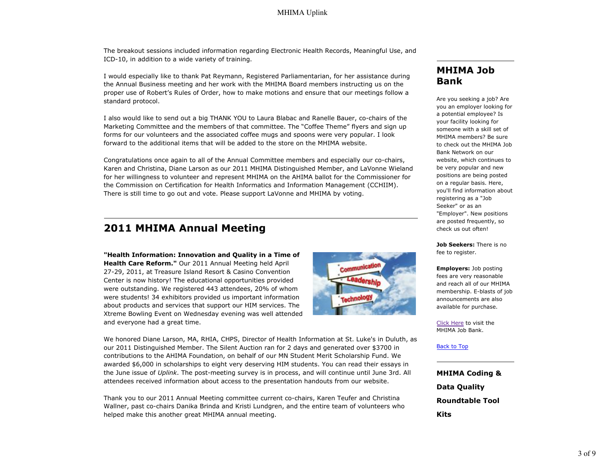The breakout sessions included information regarding Electronic Health Records, Meaningful Use, and ICD-10, in addition to a wide variety of training.

I would especially like to thank Pat Reymann, Registered Parliamentarian, for her assistance during the Annual Business meeting and her work with the MHIMA Board members instructing us on the proper use of Robert's Rules of Order, how to make motions and ensure that our meetings follow a standard protocol.

I also would like to send out a big THANK YOU to Laura Blabac and Ranelle Bauer, co-chairs of the Marketing Committee and the members of that committee. The "Coffee Theme" flyers and sign up forms for our volunteers and the associated coffee mugs and spoons were very popular. I look forward to the additional items that will be added to the store on the MHIMA website.

Congratulations once again to all of the Annual Committee members and especially our co-chairs, Karen and Christina, Diane Larson as our 2011 MHIMA Distinguished Member, and LaVonne Wieland for her willingness to volunteer and represent MHIMA on the AHIMA ballot for the Commissioner for the Commission on Certification for Health Informatics and Information Management (CCHIIM). There is still time to go out and vote. Please support LaVonne and MHIMA by voting.

#### **2011 MHIMA Annual Meeting**

**"Health Information: Innovation and Quality in a Time of Health Care Reform."** Our 2011 Annual Meeting held April 27-29, 2011, at Treasure Island Resort & Casino Convention Center is now history! The educational opportunities provided were outstanding. We registered 443 attendees, 20% of whom were students! 34 exhibitors provided us important information about products and services that support our HIM services. The Xtreme Bowling Event on Wednesday evening was well attended and everyone had a great time.



We honored Diane Larson, MA, RHIA, CHPS, Director of Health Information at St. Luke's in Duluth, as our 2011 Distinguished Member. The Silent Auction ran for 2 days and generated over \$3700 in contributions to the AHIMA Foundation, on behalf of our MN Student Merit Scholarship Fund. We awarded \$6,000 in scholarships to eight very deserving HIM students. You can read their essays in the June issue of *Uplink*. The post-meeting survey is in process, and will continue until June 3rd. All attendees received information about access to the presentation handouts from our website.

Thank you to our 2011 Annual Meeting committee current co-chairs, Karen Teufer and Christina Wallner, past co-chairs Danika Brinda and Kristi Lundgren, and the entire team of volunteers who helped make this another great MHIMA annual meeting.

## **MHIMA Job Bank**

Are you seeking a job? Are you an employer looking for a potential employee? Is your facility looking for someone with a skill set of MHIMA members? Be sure to check out the MHIMA Job Bank Network on our website, which continues to be very popular and new positions are being posted on a regular basis. Here, you'll find information about registering as a "Job Seeker" or as an "Employer". New positions are posted frequently, so check us out often!

**Job Seekers:** There is no fee to register.

**Employers:** Job posting fees are very reasonable and reach all of our MHIMA membership. E-blasts of job announcements are also available for purchase.

Click Here to visit the MHIMA Job Bank.

Back to Top

**MHIMA Coding & Data Quality Roundtable Tool Kits**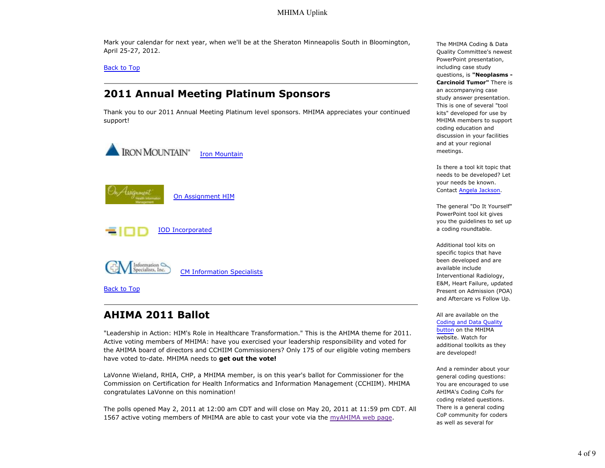Mark your calendar for next year, when we'll be at the Sheraton Minneapolis South in Bloomington, April 25-27, 2012.

Back to Top

## **2011 Annual Meeting Platinum Sponsors**

Thank you to our 2011 Annual Meeting Platinum level sponsors. MHIMA appreciates your continued support!



# **AHIMA 2011 Ballot**

"Leadership in Action: HIM's Role in Healthcare Transformation." This is the AHIMA theme for 2011. Active voting members of MHIMA: have you exercised your leadership responsibility and voted for the AHIMA board of directors and CCHIIM Commissioners? Only 175 of our eligible voting members have voted to-date. MHIMA needs to **get out the vote!**

LaVonne Wieland, RHIA, CHP, a MHIMA member, is on this year's ballot for Commissioner for the Commission on Certification for Health Informatics and Information Management (CCHIIM). MHIMA congratulates LaVonne on this nomination!

The polls opened May 2, 2011 at 12:00 am CDT and will close on May 20, 2011 at 11:59 pm CDT. All 1567 active voting members of MHIMA are able to cast your vote via the myAHIMA web page.

The MHIMA Coding & Data Quality Committee's newest PowerPoint presentation, including case study questions, is **"Neoplasms - Carcinoid Tumor"** There is an accompanying case study answer presentation. This is one of several "tool kits" developed for use by MHIMA members to support coding education and discussion in your facilities and at your regional meetings.

Is there a tool kit topic that needs to be developed? Let your needs be known. Contact Angela Jackson.

The general "Do It Yourself" PowerPoint tool kit gives you the guidelines to set up a coding roundtable.

Additional tool kits on specific topics that have been developed and are available include Interventional Radiology, E&M, Heart Failure, updated Present on Admission (POA) and Aftercare vs Follow Up.

All are available on the Coding and Data Quality button on the MHIMA website. Watch for additional toolkits as they are developed!

And a reminder about your general coding questions: You are encouraged to use AHIMA's Coding CoPs for coding related questions. There is a general coding CoP community for coders as well as several for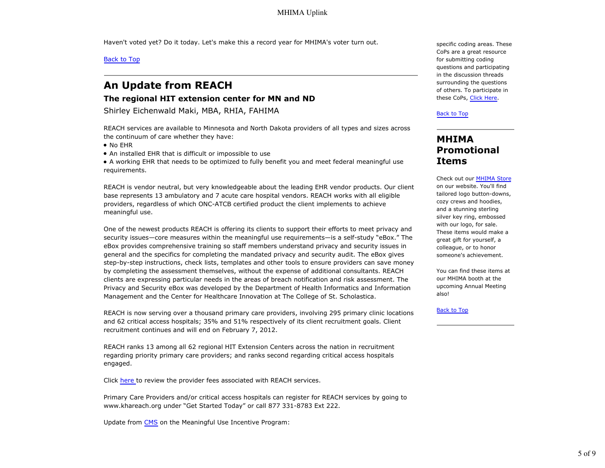Haven't voted yet? Do it today. Let's make this a record year for MHIMA's voter turn out.

Back to Top

# **An Update from REACH**

#### **The regional HIT extension center for MN and ND**

Shirley Eichenwald Maki, MBA, RHIA, FAHIMA

REACH services are available to Minnesota and North Dakota providers of all types and sizes across the continuum of care whether they have:

• No EHR

An installed EHR that is difficult or impossible to use

A working EHR that needs to be optimized to fully benefit you and meet federal meaningful use requirements.

REACH is vendor neutral, but very knowledgeable about the leading EHR vendor products. Our client base represents 13 ambulatory and 7 acute care hospital vendors. REACH works with all eligible providers, regardless of which ONC-ATCB certified product the client implements to achieve meaningful use.

One of the newest products REACH is offering its clients to support their efforts to meet privacy and security issues—core measures within the meaningful use requirements—is a self-study "eBox." The eBox provides comprehensive training so staff members understand privacy and security issues in general and the specifics for completing the mandated privacy and security audit. The eBox gives step-by-step instructions, check lists, templates and other tools to ensure providers can save money by completing the assessment themselves, without the expense of additional consultants. REACH clients are expressing particular needs in the areas of breach notification and risk assessment. The Privacy and Security eBox was developed by the Department of Health Informatics and Information Management and the Center for Healthcare Innovation at The College of St. Scholastica.

REACH is now serving over a thousand primary care providers, involving 295 primary clinic locations and 62 critical access hospitals; 35% and 51% respectively of its client recruitment goals. Client recruitment continues and will end on February 7, 2012.

REACH ranks 13 among all 62 regional HIT Extension Centers across the nation in recruitment regarding priority primary care providers; and ranks second regarding critical access hospitals engaged.

Click here to review the provider fees associated with REACH services.

Primary Care Providers and/or critical access hospitals can register for REACH services by going to www.khareach.org under "Get Started Today" or call 877 331-8783 Ext 222.

Update from CMS on the Meaningful Use Incentive Program:

specific coding areas. These CoPs are a great resource for submitting coding questions and participating in the discussion threads surrounding the questions of others. To participate in these CoPs, Click Here.

Back to Top

### **MHIMA Promotional Items**

Check out our MHIMA Store on our website. You'll find tailored logo button-downs, cozy crews and hoodies, and a stunning sterling silver key ring, embossed with our logo, for sale. These items would make a great gift for yourself, a colleague, or to honor someone's achievement.

You can find these items at our MHIMA booth at the upcoming Annual Meeting also!

**Back to Top**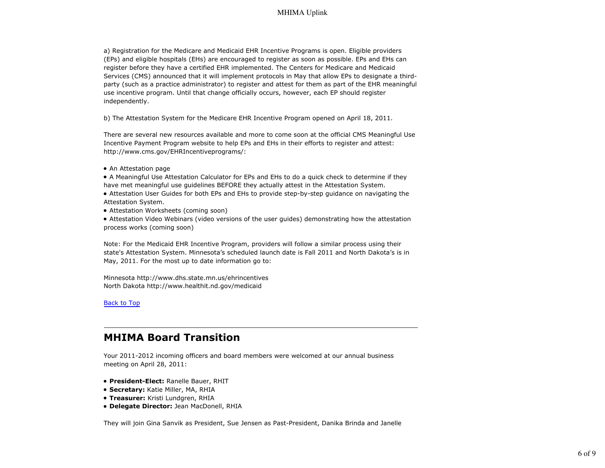a) Registration for the Medicare and Medicaid EHR Incentive Programs is open. Eligible providers (EPs) and eligible hospitals (EHs) are encouraged to register as soon as possible. EPs and EHs can register before they have a certified EHR implemented. The Centers for Medicare and Medicaid Services (CMS) announced that it will implement protocols in May that allow EPs to designate a thirdparty (such as a practice administrator) to register and attest for them as part of the EHR meaningful use incentive program. Until that change officially occurs, however, each EP should register independently.

b) The Attestation System for the Medicare EHR Incentive Program opened on April 18, 2011.

There are several new resources available and more to come soon at the official CMS Meaningful Use Incentive Payment Program website to help EPs and EHs in their efforts to register and attest: http://www.cms.gov/EHRIncentiveprograms/:

- An Attestation page
- A Meaningful Use Attestation Calculator for EPs and EHs to do a quick check to determine if they have met meaningful use guidelines BEFORE they actually attest in the Attestation System.
- Attestation User Guides for both EPs and EHs to provide step-by-step guidance on navigating the Attestation System.
- Attestation Worksheets (coming soon)
- Attestation Video Webinars (video versions of the user guides) demonstrating how the attestation process works (coming soon)

Note: For the Medicaid EHR Incentive Program, providers will follow a similar process using their state's Attestation System. Minnesota's scheduled launch date is Fall 2011 and North Dakota's is in May, 2011. For the most up to date information go to:

Minnesota http://www.dhs.state.mn.us/ehrincentives North Dakota http://www.healthit.nd.gov/medicaid

Back to Top

## **MHIMA Board Transition**

Your 2011-2012 incoming officers and board members were welcomed at our annual business meeting on April 28, 2011:

- **President-Elect:** Ranelle Bauer, RHIT
- **Secretary:** Katie Miller, MA, RHIA
- **Treasurer:** Kristi Lundgren, RHIA
- **Delegate Director:** Jean MacDonell, RHIA

They will join Gina Sanvik as President, Sue Jensen as Past-President, Danika Brinda and Janelle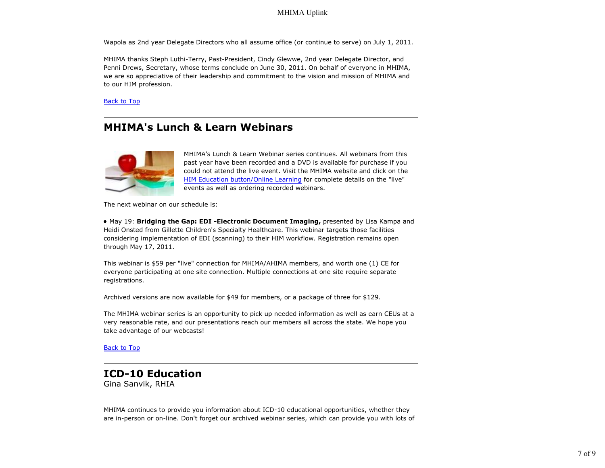Wapola as 2nd year Delegate Directors who all assume office (or continue to serve) on July 1, 2011.

MHIMA thanks Steph Luthi-Terry, Past-President, Cindy Glewwe, 2nd year Delegate Director, and Penni Drews, Secretary, whose terms conclude on June 30, 2011. On behalf of everyone in MHIMA, we are so appreciative of their leadership and commitment to the vision and mission of MHIMA and to our HIM profession.

Back to Top

## **MHIMA's Lunch & Learn Webinars**



MHIMA's Lunch & Learn Webinar series continues. All webinars from this past year have been recorded and a DVD is available for purchase if you could not attend the live event. Visit the MHIMA website and click on the HIM Education button/Online Learning for complete details on the "live" events as well as ordering recorded webinars.

The next webinar on our schedule is:

May 19: **Bridging the Gap: EDI -Electronic Document Imaging,** presented by Lisa Kampa and Heidi Onsted from Gillette Children's Specialty Healthcare. This webinar targets those facilities considering implementation of EDI (scanning) to their HIM workflow. Registration remains open through May 17, 2011.

This webinar is \$59 per "live" connection for MHIMA/AHIMA members, and worth one (1) CE for everyone participating at one site connection. Multiple connections at one site require separate registrations.

Archived versions are now available for \$49 for members, or a package of three for \$129.

The MHIMA webinar series is an opportunity to pick up needed information as well as earn CEUs at a very reasonable rate, and our presentations reach our members all across the state. We hope you take advantage of our webcasts!

Back to Top

# **ICD-10 Education**

Gina Sanvik, RHIA

MHIMA continues to provide you information about ICD-10 educational opportunities, whether they are in-person or on-line. Don't forget our archived webinar series, which can provide you with lots of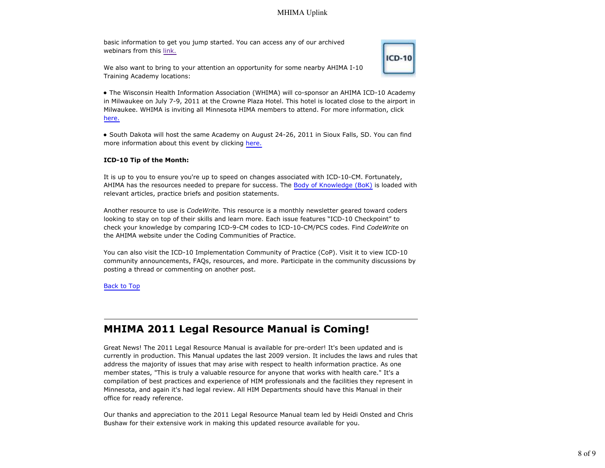basic information to get you jump started. You can access any of our archived webinars from this link.



We also want to bring to your attention an opportunity for some nearby AHIMA I-10 Training Academy locations:

The Wisconsin Health Information Association (WHIMA) will co-sponsor an AHIMA ICD-10 Academy in Milwaukee on July 7-9, 2011 at the Crowne Plaza Hotel. This hotel is located close to the airport in Milwaukee. WHIMA is inviting all Minnesota HIMA members to attend. For more information, click here.

South Dakota will host the same Academy on August 24-26, 2011 in Sioux Falls, SD. You can find more information about this event by clicking here.

#### **ICD-10 Tip of the Month:**

It is up to you to ensure you're up to speed on changes associated with ICD-10-CM. Fortunately, AHIMA has the resources needed to prepare for success. The Body of Knowledge (BoK) is loaded with relevant articles, practice briefs and position statements.

Another resource to use is *CodeWrite.* This resource is a monthly newsletter geared toward coders looking to stay on top of their skills and learn more. Each issue features "ICD-10 Checkpoint" to check your knowledge by comparing ICD-9-CM codes to ICD-10-CM/PCS codes. Find *CodeWrite* on the AHIMA website under the Coding Communities of Practice.

You can also visit the ICD-10 Implementation Community of Practice (CoP). Visit it to view ICD-10 community announcements, FAQs, resources, and more. Participate in the community discussions by posting a thread or commenting on another post.

#### Back to Top

## **MHIMA 2011 Legal Resource Manual is Coming!**

Great News! The 2011 Legal Resource Manual is available for pre-order! It's been updated and is currently in production. This Manual updates the last 2009 version. It includes the laws and rules that address the majority of issues that may arise with respect to health information practice. As one member states, "This is truly a valuable resource for anyone that works with health care." It's a compilation of best practices and experience of HIM professionals and the facilities they represent in Minnesota, and again it's had legal review. All HIM Departments should have this Manual in their office for ready reference.

Our thanks and appreciation to the 2011 Legal Resource Manual team led by Heidi Onsted and Chris Bushaw for their extensive work in making this updated resource available for you.